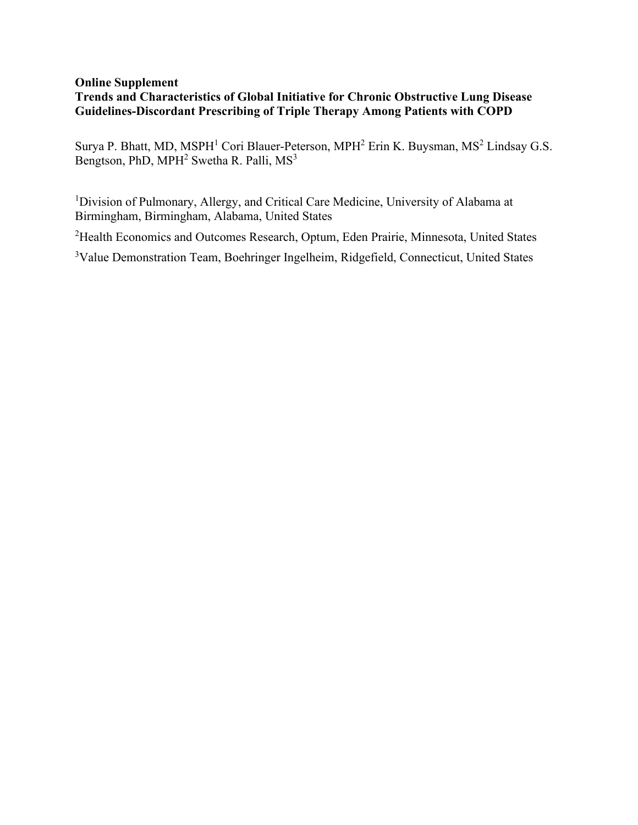## **Online Supplement Trends and Characteristics of Global Initiative for Chronic Obstructive Lung Disease Guidelines-Discordant Prescribing of Triple Therapy Among Patients with COPD**

Surya P. Bhatt, MD, MSPH<sup>1</sup> Cori Blauer-Peterson, MPH<sup>2</sup> Erin K. Buysman, MS<sup>2</sup> Lindsay G.S. Bengtson, PhD, MPH<sup>2</sup> Swetha R. Palli, MS<sup>3</sup>

<sup>1</sup>Division of Pulmonary, Allergy, and Critical Care Medicine, University of Alabama at Birmingham, Birmingham, Alabama, United States

<sup>2</sup>Health Economics and Outcomes Research, Optum, Eden Prairie, Minnesota, United States

<sup>3</sup>Value Demonstration Team, Boehringer Ingelheim, Ridgefield, Connecticut, United States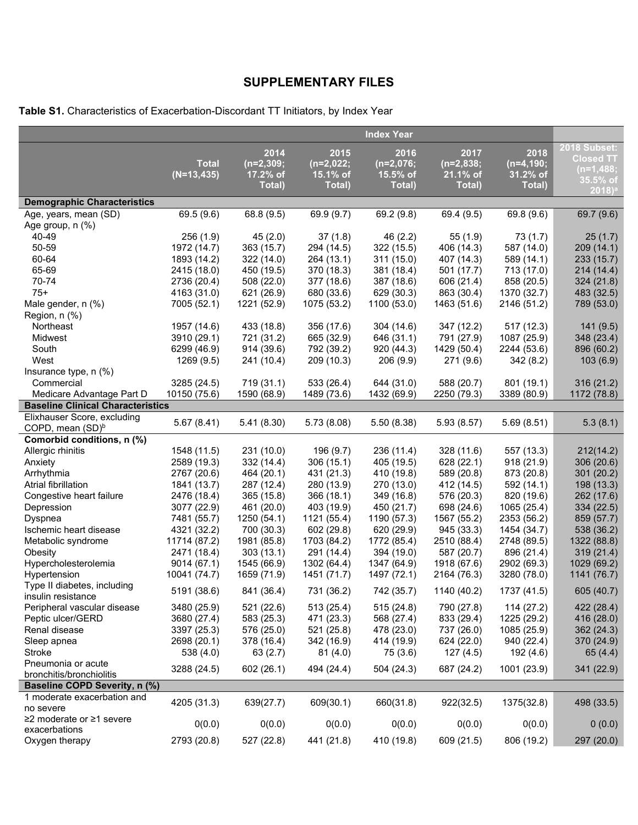## **SUPPLEMENTARY FILES**

**Table S1.** Characteristics of Exacerbation-Discordant TT Initiators, by Index Year

|                                                   |               |             |             | <b>Index Year</b> |             |                         |                         |
|---------------------------------------------------|---------------|-------------|-------------|-------------------|-------------|-------------------------|-------------------------|
|                                                   |               | 2014        | 2015        | 2016              | 2017        | 2018                    | <b>2018 Subset:</b>     |
|                                                   | <b>Total</b>  | $(n=2,309;$ | $(n=2,022;$ | $(n=2,076;$       | $(n=2,838;$ | $(n=4, 190;$            | <b>Closed TT</b>        |
|                                                   | $(N=13, 435)$ | 17.2% of    | 15.1% of    | 15.5% of          | 21.1% of    | 31.2% of                | $(n=1,488;$<br>35.5% of |
|                                                   |               | Total)      | Total)      | Total)            | Total)      | Total)                  | $2018$ <sup>a</sup>     |
| <b>Demographic Characteristics</b>                |               |             |             |                   |             |                         |                         |
| Age, years, mean (SD)                             | 69.5 (9.6)    | 68.8 (9.5)  | 69.9 (9.7)  | 69.2 (9.8)        | 69.4 (9.5)  | $\overline{69.8}$ (9.6) | 69.7 (9.6)              |
| Age group, n (%)                                  |               |             |             |                   |             |                         |                         |
| 40-49                                             | 256 (1.9)     | 45(2.0)     | 37(1.8)     | 46(2.2)           | 55(1.9)     | 73(1.7)                 | 25(1.7)                 |
| 50-59                                             | 1972 (14.7)   | 363 (15.7)  | 294 (14.5)  | 322 (15.5)        | 406 (14.3)  | 587 (14.0)              | 209(14.1)               |
| 60-64                                             | 1893 (14.2)   | 322 (14.0)  | 264 (13.1)  | 311 (15.0)        | 407 (14.3)  | 589 (14.1)              | 233 (15.7)              |
| 65-69                                             | 2415 (18.0)   | 450 (19.5)  | 370 (18.3)  | 381 (18.4)        | 501 (17.7)  | 713 (17.0)              | 214(14.4)               |
| 70-74                                             | 2736 (20.4)   | 508 (22.0)  | 377 (18.6)  | 387 (18.6)        | 606 (21.4)  | 858 (20.5)              | 324(21.8)               |
| $75+$                                             | 4163 (31.0)   | 621 (26.9)  | 680 (33.6)  | 629 (30.3)        | 863 (30.4)  | 1370 (32.7)             | 483 (32.5)              |
| Male gender, n (%)                                | 7005 (52.1)   | 1221 (52.9) | 1075 (53.2) | 1100 (53.0)       | 1463 (51.6) | 2146 (51.2)             | 789 (53.0)              |
| Region, n (%)                                     |               |             |             |                   |             |                         |                         |
| Northeast                                         | 1957 (14.6)   | 433 (18.8)  | 356 (17.6)  | 304 (14.6)        | 347 (12.2)  | 517(12.3)               | 141(9.5)                |
| Midwest                                           | 3910 (29.1)   | 721 (31.2)  | 665 (32.9)  | 646 (31.1)        | 791 (27.9)  | 1087 (25.9)             | 348 (23.4)              |
| South                                             | 6299 (46.9)   | 914 (39.6)  | 792 (39.2)  | 920 (44.3)        | 1429 (50.4) | 2244 (53.6)             | 896 (60.2)              |
| West                                              | 1269 (9.5)    | 241 (10.4)  | 209 (10.3)  | 206(9.9)          | 271 (9.6)   | 342(8.2)                | 103(6.9)                |
| Insurance type, n (%)                             |               |             |             |                   |             |                         |                         |
| Commercial                                        | 3285 (24.5)   | 719 (31.1)  | 533 (26.4)  | 644 (31.0)        | 588 (20.7)  | 801 (19.1)              | 316(21.2)               |
| Medicare Advantage Part D                         | 10150 (75.6)  | 1590 (68.9) | 1489 (73.6) | 1432 (69.9)       | 2250 (79.3) | 3389 (80.9)             | 1172 (78.8)             |
| <b>Baseline Clinical Characteristics</b>          |               |             |             |                   |             |                         |                         |
| Elixhauser Score, excluding                       | 5.67(8.41)    | 5.41(8.30)  | 5.73(8.08)  | 5.50(8.38)        | 5.93(8.57)  | 5.69(8.51)              | 5.3(8.1)                |
| COPD, mean (SD) <sup>b</sup>                      |               |             |             |                   |             |                         |                         |
| Comorbid conditions, n (%)                        |               |             |             |                   |             |                         |                         |
| Allergic rhinitis                                 | 1548 (11.5)   | 231 (10.0)  | 196 (9.7)   | 236 (11.4)        | 328 (11.6)  | 557 (13.3)              | 212(14.2)               |
| Anxiety                                           | 2589 (19.3)   | 332 (14.4)  | 306(15.1)   | 405 (19.5)        | 628 (22.1)  | 918(21.9)               | 306(20.6)               |
| Arrhythmia                                        | 2767 (20.6)   | 464 (20.1)  | 431 (21.3)  | 410 (19.8)        | 589 (20.8)  | 873 (20.8)              | 301(20.2)               |
| Atrial fibrillation                               | 1841 (13.7)   | 287 (12.4)  | 280 (13.9)  | 270 (13.0)        | 412 (14.5)  | 592 (14.1)              | 198 (13.3)              |
| Congestive heart failure                          | 2476 (18.4)   | 365 (15.8)  | 366(18.1)   | 349 (16.8)        | 576 (20.3)  | 820 (19.6)              | 262 (17.6)              |
| Depression                                        | 3077 (22.9)   | 461 (20.0)  | 403 (19.9)  | 450 (21.7)        | 698 (24.6)  | 1065 (25.4)             | 334(22.5)               |
| Dyspnea                                           | 7481 (55.7)   | 1250 (54.1) | 1121 (55.4) | 1190 (57.3)       | 1567 (55.2) | 2353 (56.2)             | 859 (57.7)              |
| Ischemic heart disease                            | 4321 (32.2)   | 700 (30.3)  | 602 (29.8)  | 620 (29.9)        | 945 (33.3)  | 1454 (34.7)             | 538 (36.2)              |
| Metabolic syndrome                                | 11714 (87.2)  | 1981 (85.8) | 1703 (84.2) | 1772 (85.4)       | 2510 (88.4) | 2748 (89.5)             | 1322 (88.8)             |
| Obesity                                           | 2471 (18.4)   | 303(13.1)   | 291 (14.4)  | 394 (19.0)        | 587 (20.7)  | 896 (21.4)              | 319(21.4)               |
| Hypercholesterolemia                              | 9014 (67.1)   | 1545 (66.9) | 1302 (64.4) | 1347 (64.9)       | 1918 (67.6) | 2902 (69.3)             | 1029 (69.2)             |
| Hypertension                                      | 10041 (74.7)  | 1659 (71.9) | 1451 (71.7) | 1497 (72.1)       | 2164 (76.3) | 3280 (78.0)             | 1141 (76.7)             |
| Type II diabetes, including<br>insulin resistance | 5191 (38.6)   | 841 (36.4)  | 731 (36.2)  | 742 (35.7)        | 1140 (40.2) | 1737 (41.5)             | 605 (40.7)              |
| Peripheral vascular disease                       | 3480 (25.9)   | 521 (22.6)  | 513(25.4)   | 515 (24.8)        | 790 (27.8)  | 114(27.2)               | 422 (28.4)              |
| Peptic ulcer/GERD                                 | 3680 (27.4)   | 583 (25.3)  | 471 (23.3)  | 568 (27.4)        | 833 (29.4)  | 1225 (29.2)             | 416 (28.0)              |
| Renal disease                                     | 3397 (25.3)   | 576 (25.0)  | 521 (25.8)  | 478 (23.0)        | 737 (26.0)  | 1085 (25.9)             | 362 (24.3)              |
| Sleep apnea                                       | 2698 (20.1)   | 378 (16.4)  | 342 (16.9)  | 414 (19.9)        | 624 (22.0)  | 940 (22.4)              | 370 (24.9)              |
| Stroke                                            | 538 (4.0)     | 63(2.7)     | 81(4.0)     | 75 (3.6)          | 127(4.5)    | 192 (4.6)               | 65 (4.4)                |
| Pneumonia or acute                                | 3288 (24.5)   | 602 (26.1)  | 494 (24.4)  | 504 (24.3)        | 687 (24.2)  | 1001 (23.9)             | 341 (22.9)              |
| bronchitis/bronchiolitis                          |               |             |             |                   |             |                         |                         |
| <b>Baseline COPD Severity, n (%)</b>              |               |             |             |                   |             |                         |                         |
| 1 moderate exacerbation and                       | 4205 (31.3)   | 639(27.7)   | 609(30.1)   | 660(31.8)         | 922(32.5)   | 1375(32.8)              | 498 (33.5)              |
| no severe                                         |               |             |             |                   |             |                         |                         |
| ≥2 moderate or ≥1 severe<br>exacerbations         | 0(0.0)        | 0(0.0)      | 0(0.0)      | 0(0.0)            | 0(0.0)      | 0(0.0)                  | 0(0.0)                  |
| Oxygen therapy                                    | 2793 (20.8)   | 527 (22.8)  | 441 (21.8)  | 410 (19.8)        | 609 (21.5)  | 806 (19.2)              | 297 (20.0)              |